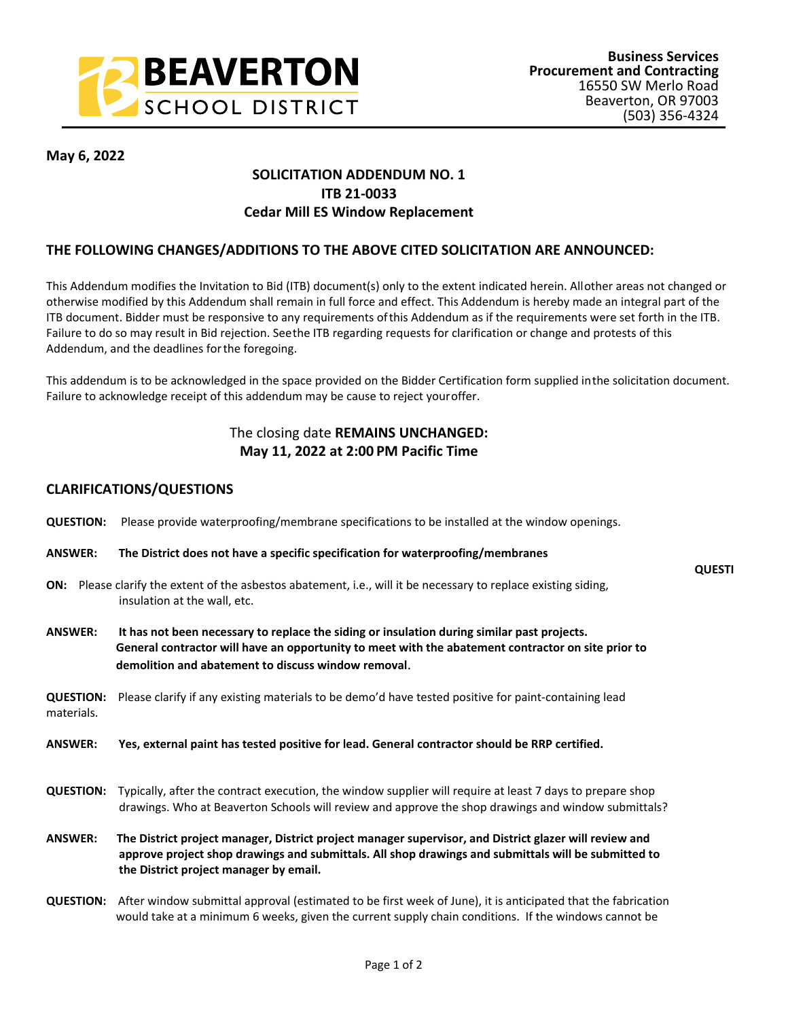

**QUESTI**

**May 6, 2022**

## **SOLICITATION ADDENDUM NO. 1 ITB 21-0033 Cedar Mill ES Window Replacement**

## **THE FOLLOWING CHANGES/ADDITIONS TO THE ABOVE CITED SOLICITATION ARE ANNOUNCED:**

This Addendum modifies the Invitation to Bid (ITB) document(s) only to the extent indicated herein. All other areas not changed or otherwise modified by this Addendum shall remain in full force and effect. This Addendum is hereby made an integral part of the ITB document. Bidder must be responsive to any requirements of this Addendum as if the requirements were set forth in the ITB. Failure to do so may result in Bid rejection. See the ITB regarding requests for clarification or change and protests of this Addendum, and the deadlines for the foregoing.

This addendum is to be acknowledged in the space provided on the Bidder Certification form supplied in the solicitation document. Failure to acknowledge receipt of this addendum may be cause to reject your offer.

## The closing date **REMAINS UNCHANGED: May 11, 2022 at 2:00 PM Pacific Time**

## **CLARIFICATIONS/QUESTIONS**

- **QUESTION:** Please provide waterproofing/membrane specifications to be installed at the window openings.
- **ANSWER: The District does not have a specific specification for waterproofing/membranes**
- **ON:** Please clarify the extent of the asbestos abatement, i.e., will it be necessary to replace existing siding, insulation at the wall, etc.
- **ANSWER: It has not been necessary to replace the siding or insulation during similar past projects. General contractor will have an opportunity to meet with the abatement contractor on site prior to demolition and abatement to discuss window removal**.

**QUESTION:** Please clarify if any existing materials to be demo'd have tested positive for paint-containing lead materials.

**ANSWER: Yes, external paint has tested positive for lead. General contractor should be RRP certified.**

- **QUESTION:** Typically, after the contract execution, the window supplier will require at least 7 days to prepare shop drawings. Who at Beaverton Schools will review and approve the shop drawings and window submittals?
- **ANSWER:****The District project manager, District project manager supervisor, and District glazer will review and approve project shop drawings and submittals. All shop drawings and submittals will be submitted to the District project manager by email.**
- **QUESTION:** After window submittal approval (estimated to be first week of June), it is anticipated that the fabrication would take at a minimum 6 weeks, given the current supply chain conditions. If the windows cannot be